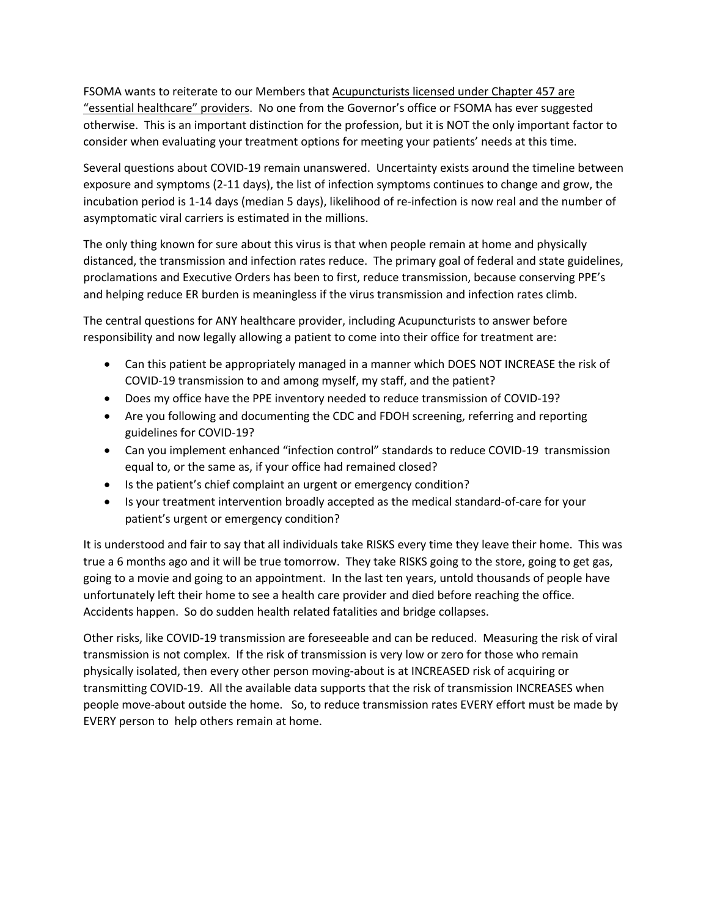FSOMA wants to reiterate to our Members that Acupuncturists licensed under Chapter 457 are "essential healthcare" providers. No one from the Governor's office or FSOMA has ever suggested otherwise. This is an important distinction for the profession, but it is NOT the only important factor to consider when evaluating your treatment options for meeting your patients' needs at this time.

Several questions about COVID-19 remain unanswered. Uncertainty exists around the timeline between exposure and symptoms (2-11 days), the list of infection symptoms continues to change and grow, the incubation period is 1-14 days (median 5 days), likelihood of re-infection is now real and the number of asymptomatic viral carriers is estimated in the millions.

The only thing known for sure about this virus is that when people remain at home and physically distanced, the transmission and infection rates reduce. The primary goal of federal and state guidelines, proclamations and Executive Orders has been to first, reduce transmission, because conserving PPE's and helping reduce ER burden is meaningless if the virus transmission and infection rates climb.

The central questions for ANY healthcare provider, including Acupuncturists to answer before responsibility and now legally allowing a patient to come into their office for treatment are:

- Can this patient be appropriately managed in a manner which DOES NOT INCREASE the risk of COVID-19 transmission to and among myself, my staff, and the patient?
- Does my office have the PPE inventory needed to reduce transmission of COVID-19?
- Are you following and documenting the CDC and FDOH screening, referring and reporting guidelines for COVID-19?
- Can you implement enhanced "infection control" standards to reduce COVID-19 transmission equal to, or the same as, if your office had remained closed?
- Is the patient's chief complaint an urgent or emergency condition?
- Is your treatment intervention broadly accepted as the medical standard-of-care for your patient's urgent or emergency condition?

It is understood and fair to say that all individuals take RISKS every time they leave their home. This was true a 6 months ago and it will be true tomorrow. They take RISKS going to the store, going to get gas, going to a movie and going to an appointment. In the last ten years, untold thousands of people have unfortunately left their home to see a health care provider and died before reaching the office. Accidents happen. So do sudden health related fatalities and bridge collapses.

Other risks, like COVID-19 transmission are foreseeable and can be reduced. Measuring the risk of viral transmission is not complex. If the risk of transmission is very low or zero for those who remain physically isolated, then every other person moving-about is at INCREASED risk of acquiring or transmitting COVID-19. All the available data supports that the risk of transmission INCREASES when people move-about outside the home. So, to reduce transmission rates EVERY effort must be made by EVERY person to help others remain at home.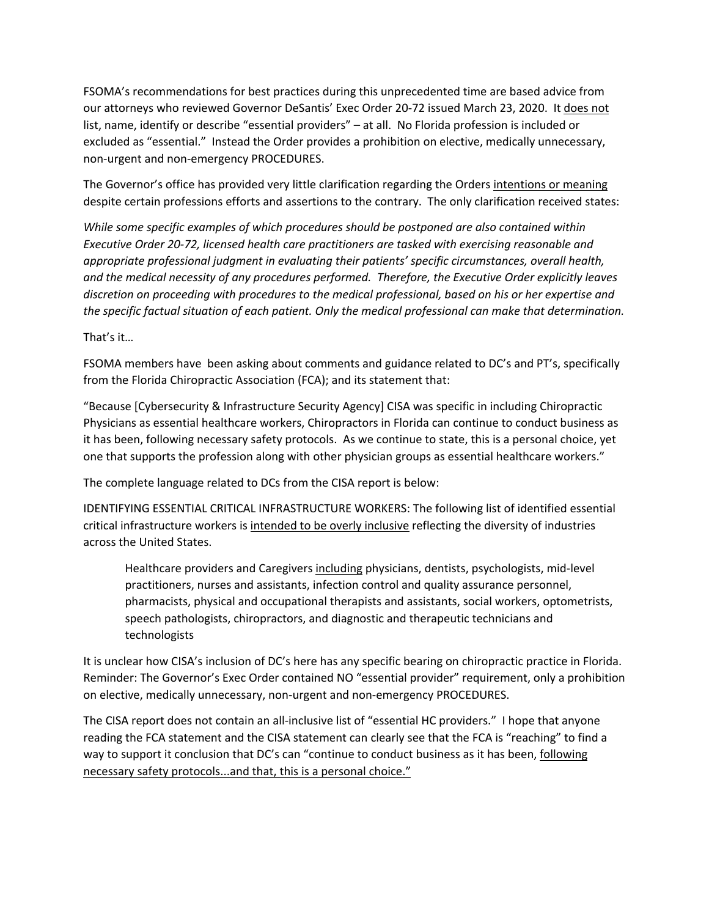FSOMA's recommendations for best practices during this unprecedented time are based advice from our attorneys who reviewed Governor DeSantis' Exec Order 20-72 issued March 23, 2020. It does not list, name, identify or describe "essential providers" – at all. No Florida profession is included or excluded as "essential." Instead the Order provides a prohibition on elective, medically unnecessary, non-urgent and non-emergency PROCEDURES.

The Governor's office has provided very little clarification regarding the Orders intentions or meaning despite certain professions efforts and assertions to the contrary. The only clarification received states:

*While some specific examples of which procedures should be postponed are also contained within Executive Order 20-72, licensed health care practitioners are tasked with exercising reasonable and appropriate professional judgment in evaluating their patients' specific circumstances, overall health, and the medical necessity of any procedures performed. Therefore, the Executive Order explicitly leaves discretion on proceeding with procedures to the medical professional, based on his or her expertise and the specific factual situation of each patient. Only the medical professional can make that determination.*

That's it…

FSOMA members have been asking about comments and guidance related to DC's and PT's, specifically from the Florida Chiropractic Association (FCA); and its statement that:

"Because [Cybersecurity & Infrastructure Security Agency] CISA was specific in including Chiropractic Physicians as essential healthcare workers, Chiropractors in Florida can continue to conduct business as it has been, following necessary safety protocols. As we continue to state, this is a personal choice, yet one that supports the profession along with other physician groups as essential healthcare workers."

The complete language related to DCs from the CISA report is below:

IDENTIFYING ESSENTIAL CRITICAL INFRASTRUCTURE WORKERS: The following list of identified essential critical infrastructure workers is intended to be overly inclusive reflecting the diversity of industries across the United States.

Healthcare providers and Caregivers including physicians, dentists, psychologists, mid-level practitioners, nurses and assistants, infection control and quality assurance personnel, pharmacists, physical and occupational therapists and assistants, social workers, optometrists, speech pathologists, chiropractors, and diagnostic and therapeutic technicians and technologists

It is unclear how CISA's inclusion of DC's here has any specific bearing on chiropractic practice in Florida. Reminder: The Governor's Exec Order contained NO "essential provider" requirement, only a prohibition on elective, medically unnecessary, non-urgent and non-emergency PROCEDURES.

The CISA report does not contain an all-inclusive list of "essential HC providers." I hope that anyone reading the FCA statement and the CISA statement can clearly see that the FCA is "reaching" to find a way to support it conclusion that DC's can "continue to conduct business as it has been, following necessary safety protocols...and that, this is a personal choice."